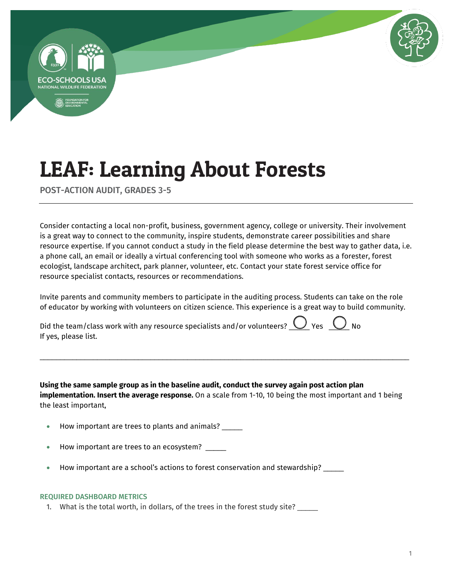



POST-ACTION AUDIT, GRADES 3-5

Consider contacting a local non-profit, business, government agency, college or university. Their involvement is a great way to connect to the community, inspire students, demonstrate career possibilities and share resource expertise. If you cannot conduct a study in the field please determine the best way to gather data, i.e. a phone call, an email or ideally a virtual conferencing tool with someone who works as a forester, forest ecologist, landscape architect, park planner, volunteer, etc. Contact your state forest service office for resource specialist contacts, resources or recommendations.

Invite parents and community members to participate in the auditing process. Students can take on the role of educator by working with volunteers on citizen science. This experience is a great way to build community.

Did the team/class work with any resource specialists and/or volunteers?  $\bigcup$  Yes  $\bigcirc$  No If yes, please list.

**Using the same sample group as in the baseline audit, conduct the survey again post action plan implementation. Insert the average response.** On a scale from 1-10, 10 being the most important and 1 being the least important,

\_\_\_\_\_\_\_\_\_\_\_\_\_\_\_\_\_\_\_\_\_\_\_\_\_\_\_\_\_\_\_\_\_\_\_\_\_\_\_\_\_\_\_\_\_\_\_\_\_\_\_\_\_\_\_\_\_\_\_\_\_\_\_\_\_\_\_\_\_\_\_\_\_\_\_\_\_\_\_\_\_\_\_\_\_\_\_\_\_\_

- How important are trees to plants and animals?
- How important are trees to an ecosystem? \_\_\_\_\_
- How important are a school's actions to forest conservation and stewardship? \_\_\_\_\_

### REQUIRED DASHBOARD METRICS

1. What is the total worth, in dollars, of the trees in the forest study site?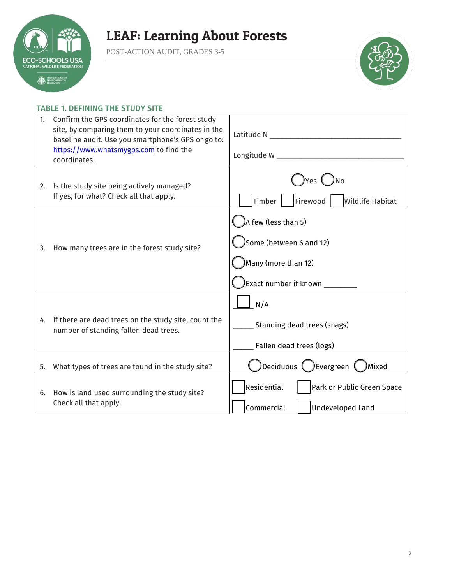

POST-ACTION AUDIT, GRADES 3-5



### TABLE 1. DEFINING THE STUDY SITE

| 1. | Confirm the GPS coordinates for the forest study<br>site, by comparing them to your coordinates in the<br>baseline audit. Use you smartphone's GPS or go to:<br>https://www.whatsmygps.com to find the<br>coordinates. | Latitude N and the control of the control of the control of the control of the control of the control of the control of the control of the control of the control of the control of the control of the control of the control<br>Longitude W New York Products and Congress of the Congress of the Congress of the Congress of the Congress of the Congress of the Congress of the Congress of the Congress of the Congress of the Congress of the Congress of |  |  |
|----|------------------------------------------------------------------------------------------------------------------------------------------------------------------------------------------------------------------------|----------------------------------------------------------------------------------------------------------------------------------------------------------------------------------------------------------------------------------------------------------------------------------------------------------------------------------------------------------------------------------------------------------------------------------------------------------------|--|--|
| 2. | Is the study site being actively managed?<br>If yes, for what? Check all that apply.                                                                                                                                   | )Yes ( )No<br>Timber<br>Firewood<br><b>Wildlife Habitat</b>                                                                                                                                                                                                                                                                                                                                                                                                    |  |  |
| 3. | How many trees are in the forest study site?                                                                                                                                                                           | A few (less than 5)<br>Some (between 6 and 12)<br>Many (more than 12)<br>)Exact number if known $\rule{1em}{0.15mm}$                                                                                                                                                                                                                                                                                                                                           |  |  |
| 4. | If there are dead trees on the study site, count the<br>number of standing fallen dead trees.                                                                                                                          | N/A<br>Standing dead trees (snags)<br>Fallen dead trees (logs)                                                                                                                                                                                                                                                                                                                                                                                                 |  |  |
| 5. | What types of trees are found in the study site?                                                                                                                                                                       | Deciduous (<br>)Evergreen (<br>Mixed                                                                                                                                                                                                                                                                                                                                                                                                                           |  |  |
| 6. | How is land used surrounding the study site?<br>Check all that apply.                                                                                                                                                  | Residential<br>Park or Public Green Space<br>Commercial<br><b>Undeveloped Land</b>                                                                                                                                                                                                                                                                                                                                                                             |  |  |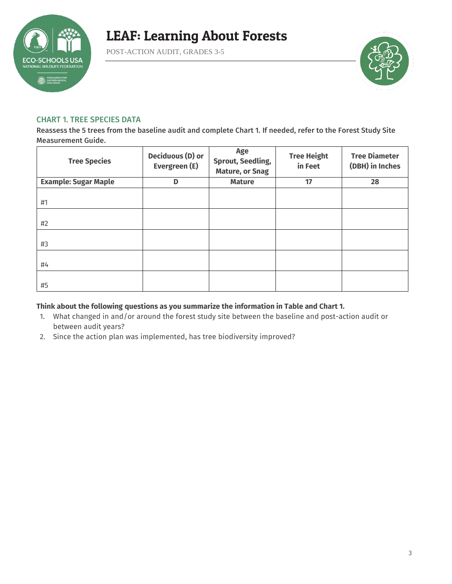

POST-ACTION AUDIT, GRADES 3-5



### CHART 1. TREE SPECIES DATA

Reassess the 5 trees from the baseline audit and complete Chart 1. If needed, refer to the Forest Study Site Measurement Guide.

| <b>Tree Species</b>         | <b>Deciduous (D) or</b><br>Evergreen (E) | Age<br><b>Sprout, Seedling,</b><br><b>Mature, or Snag</b> | <b>Tree Height</b><br>in Feet | <b>Tree Diameter</b><br>(DBH) in Inches |
|-----------------------------|------------------------------------------|-----------------------------------------------------------|-------------------------------|-----------------------------------------|
| <b>Example: Sugar Maple</b> | D                                        | <b>Mature</b>                                             | 17                            | 28                                      |
| #1                          |                                          |                                                           |                               |                                         |
| #2                          |                                          |                                                           |                               |                                         |
| #3                          |                                          |                                                           |                               |                                         |
| #4                          |                                          |                                                           |                               |                                         |
| #5                          |                                          |                                                           |                               |                                         |

### **Think about the following questions as you summarize the information in Table and Chart 1.**

- 1. What changed in and/or around the forest study site between the baseline and post-action audit or between audit years?
- 2. Since the action plan was implemented, has tree biodiversity improved?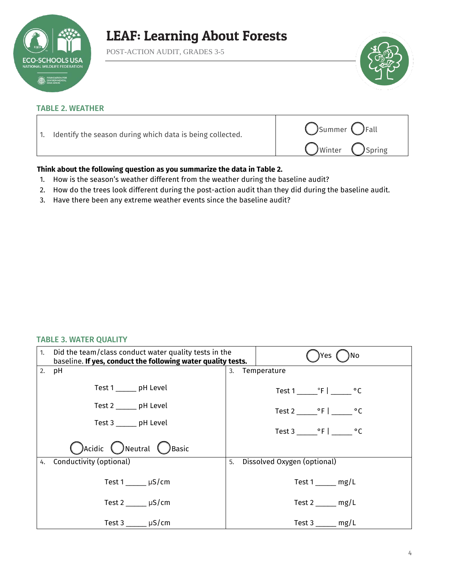

POST-ACTION AUDIT, GRADES 3-5



#### TABLE 2. WEATHER

| Identify the season during which data is being collected. | Summer <i>C</i> Fall<br>OWinter OSpring |
|-----------------------------------------------------------|-----------------------------------------|
|                                                           |                                         |

### **Think about the following question as you summarize the data in Table 2.**

- 1. How is the season's weather different from the weather during the baseline audit?
- 2. How do the trees look different during the post-action audit than they did during the baseline audit.
- 3. Have there been any extreme weather events since the baseline audit?

#### TABLE 3. WATER QUALITY

| 1. Did the team/class conduct water quality tests in the<br>baseline. If yes, conduct the following water quality tests. | Yes<br>No                                            |
|--------------------------------------------------------------------------------------------------------------------------|------------------------------------------------------|
| 2. pH                                                                                                                    | Temperature<br>3.                                    |
| Test 1 ______ pH Level                                                                                                   | Test $1 \_\cdot$ $\cdot$ F $\vert \_\cdot$ $\cdot$ C |
| Test 2 ______ pH Level                                                                                                   | Test $2 \cdot \cdot \cdot$ °F   °C                   |
| Test 3 ______ pH Level                                                                                                   | Test 3 ºF   ºC                                       |
| Cacidic C Neutral C Basic                                                                                                |                                                      |
| 4. Conductivity (optional)                                                                                               | Dissolved Oxygen (optional)<br>5.                    |
| Test $1 \qquad \qquad \mu S/cm$                                                                                          | Test $1$ mg/L                                        |
| Test $2 \mu S/cm$                                                                                                        | Test 2 $mg/L$                                        |
| Test $3 \_\_\_\_\$ µS/cm                                                                                                 | $Test3$ mg/L                                         |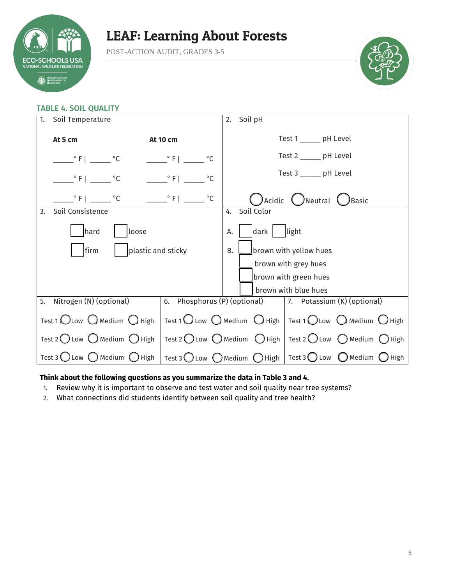

POST-ACTION AUDIT, GRADES 3-5



### TABLE 4. SOIL QUALITY

| Soil Temperature<br>1.                                  |                                                           |                                                                                                                                   | Soil pH<br>2.                                                                                                     |  |  |
|---------------------------------------------------------|-----------------------------------------------------------|-----------------------------------------------------------------------------------------------------------------------------------|-------------------------------------------------------------------------------------------------------------------|--|--|
| At 5 cm<br><b>At 10 cm</b>                              |                                                           |                                                                                                                                   | Test 1 ______ pH Level                                                                                            |  |  |
|                                                         | $\frac{\circ}{\cdot}$ F   $\frac{\circ}{\cdot}$ $\circ$ C | $\frac{\circ}{\cdot}$ F $\vert$ $\vert$<br>$^{\circ}$ C                                                                           | Test 2 ______ pH Level                                                                                            |  |  |
|                                                         | $^{\circ}$ F   $^{\circ}$ C                               | $\degree$ F  <br>$^{\circ}$ C                                                                                                     | Test 3 _______ pH Level                                                                                           |  |  |
|                                                         | $^{\circ}$ F   $^{\circ}$ C                               | $C = \left[ \begin{array}{c} \circ \\ \circ \end{array} \right]$ $C = \left[ \begin{array}{c} \circ \\ \circ \end{array} \right]$ | $\mathsf{A}\mathsf{c}\mathsf{id}$ ic $\bigcirc$ Neutral $\bigcirc$<br>)Basic                                      |  |  |
| Soil Consistence<br>3.                                  |                                                           |                                                                                                                                   | Soil Color<br>4.                                                                                                  |  |  |
| hard<br>loose                                           |                                                           |                                                                                                                                   | dark light<br>А.                                                                                                  |  |  |
| firm<br>plastic and sticky                              |                                                           |                                                                                                                                   | brown with yellow hues<br><b>B.</b>                                                                               |  |  |
|                                                         |                                                           |                                                                                                                                   | brown with grey hues                                                                                              |  |  |
|                                                         |                                                           |                                                                                                                                   | brown with green hues                                                                                             |  |  |
|                                                         |                                                           |                                                                                                                                   | brown with blue hues                                                                                              |  |  |
| 5. Nitrogen (N) (optional)                              |                                                           |                                                                                                                                   | 6. Phosphorus (P) (optional) 7. Potassium (K) (optional)                                                          |  |  |
| Test 1 $\bigcirc$ Low $\bigcirc$ Medium $\bigcirc$ High |                                                           |                                                                                                                                   | Test 1 $\bigcirc$ Low $\bigcirc$ Medium $\bigcirc$ High   Test 1 $\bigcirc$ Low $\bigcirc$ Medium $\bigcirc$ High |  |  |
| Test 2 Low $\bigcirc$ Medium $\bigcirc$ High            |                                                           |                                                                                                                                   | Test 2 ◯ Low ◯ Medium ◯ High   Test 2 ◯ Low ◯ Medium ◯ High                                                       |  |  |
| Test 3 $\bigcup$ Low $\bigcup$ Medium $\bigcup$ High    |                                                           |                                                                                                                                   | Test 3 O Low O Medium O High   Test 3 O Low O Medium O High                                                       |  |  |

### **Think about the following questions as you summarize the data in Table 3 and 4.**

- 1. Review why it is important to observe and test water and soil quality near tree systems?
- 2. What connections did students identify between soil quality and tree health?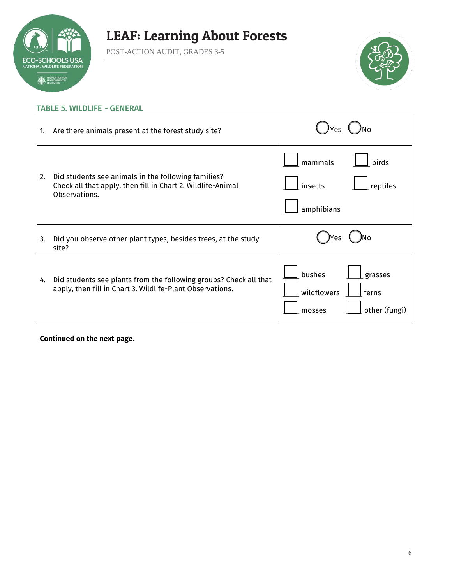

POST-ACTION AUDIT, GRADES 3-5



### TABLE 5. WILDLIFE - GENERAL

| 1. | Are there animals present at the forest study site?                                                                                 |                                                                      |
|----|-------------------------------------------------------------------------------------------------------------------------------------|----------------------------------------------------------------------|
| 2. | Did students see animals in the following families?<br>Check all that apply, then fill in Chart 2. Wildlife-Animal<br>Observations. | mammals<br>birds<br>insects<br>reptiles<br>amphibians                |
| 3. | Did you observe other plant types, besides trees, at the study<br>site?                                                             | res                                                                  |
| 4. | Did students see plants from the following groups? Check all that<br>apply, then fill in Chart 3. Wildlife-Plant Observations.      | bushes<br>grasses<br>wildflowers<br>ferns<br>other (fungi)<br>mosses |

**Continued on the next page.**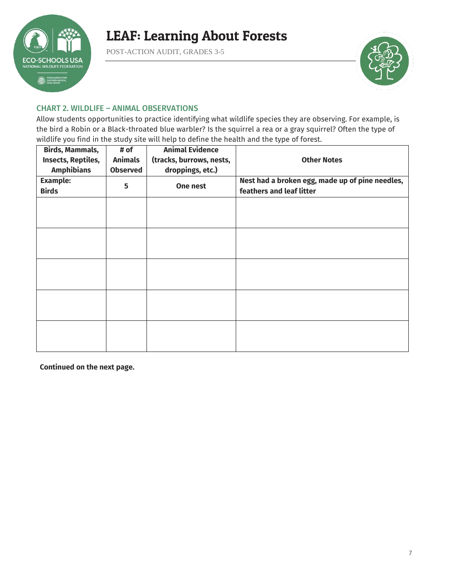

POST-ACTION AUDIT, GRADES 3-5



### CHART 2. WILDLIFE – ANIMAL OBSERVATIONS

Allow students opportunities to practice identifying what wildlife species they are observing. For example, is the bird a Robin or a Black-throated blue warbler? Is the squirrel a rea or a gray squirrel? Often the type of wildlife you find in the study site will help to define the health and the type of forest.

| <b>Birds, Mammals,</b><br>Insects, Reptiles,<br><b>Amphibians</b> | # of<br><b>Animals</b><br><b>Observed</b> | <b>Animal Evidence</b><br>(tracks, burrows, nests,<br>droppings, etc.) | <b>Other Notes</b>                                                          |
|-------------------------------------------------------------------|-------------------------------------------|------------------------------------------------------------------------|-----------------------------------------------------------------------------|
| <b>Example:</b><br><b>Birds</b>                                   | 5                                         | One nest                                                               | Nest had a broken egg, made up of pine needles,<br>feathers and leaf litter |
|                                                                   |                                           |                                                                        |                                                                             |
|                                                                   |                                           |                                                                        |                                                                             |
|                                                                   |                                           |                                                                        |                                                                             |
|                                                                   |                                           |                                                                        |                                                                             |
|                                                                   |                                           |                                                                        |                                                                             |
|                                                                   |                                           |                                                                        |                                                                             |
|                                                                   |                                           |                                                                        |                                                                             |
|                                                                   |                                           |                                                                        |                                                                             |
|                                                                   |                                           |                                                                        |                                                                             |
|                                                                   |                                           |                                                                        |                                                                             |

**Continued on the next page.**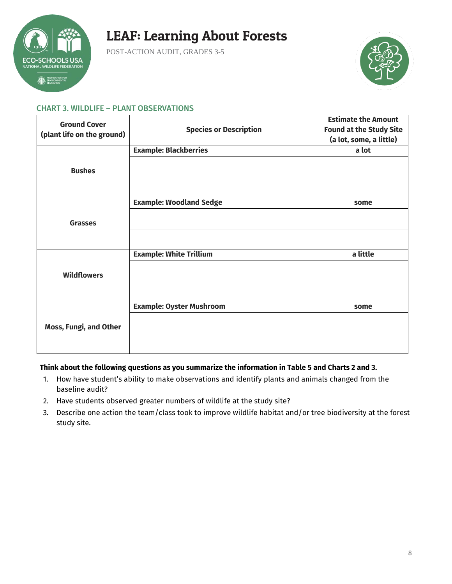

POST-ACTION AUDIT, GRADES 3-5



### CHART 3. WILDLIFE – PLANT OBSERVATIONS

| <b>Ground Cover</b>        |                                 | <b>Estimate the Amount</b>     |
|----------------------------|---------------------------------|--------------------------------|
|                            | <b>Species or Description</b>   | <b>Found at the Study Site</b> |
| (plant life on the ground) |                                 | (a lot, some, a little)        |
|                            | <b>Example: Blackberries</b>    | a lot                          |
| <b>Bushes</b>              |                                 |                                |
|                            |                                 |                                |
|                            |                                 |                                |
|                            | <b>Example: Woodland Sedge</b>  | some                           |
|                            |                                 |                                |
| <b>Grasses</b>             |                                 |                                |
|                            |                                 |                                |
|                            | <b>Example: White Trillium</b>  | a little                       |
| <b>Wildflowers</b>         |                                 |                                |
|                            |                                 |                                |
|                            | <b>Example: Oyster Mushroom</b> | some                           |
| Moss, Fungi, and Other     |                                 |                                |
|                            |                                 |                                |

### **Think about the following questions as you summarize the information in Table 5 and Charts 2 and 3.**

- 1. How have student's ability to make observations and identify plants and animals changed from the baseline audit?
- 2. Have students observed greater numbers of wildlife at the study site?
- 3. Describe one action the team/class took to improve wildlife habitat and/or tree biodiversity at the forest study site.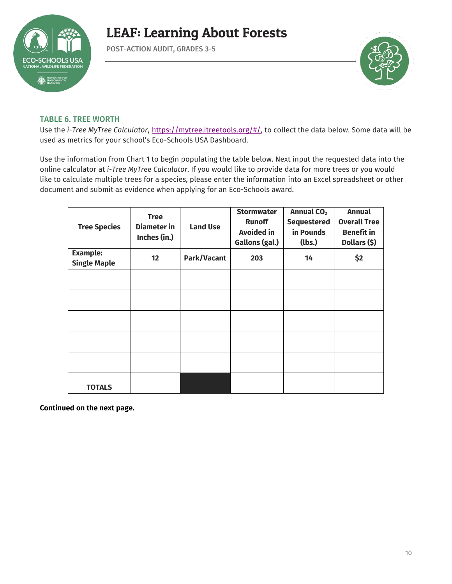

POST-ACTION AUDIT, GRADES 3-5



### TABLE 6. TREE WORTH

Use the *i-Tree MyTree Calculator*, [https://mytree.itreetools.org/#/,](https://mytree.itreetools.org/#/) to collect the data below. Some data will be used as metrics for your school's Eco-Schools USA Dashboard.

Use the information from Chart 1 to begin populating the table below. Next input the requested data into the online calculator at *i-Tree MyTree Calculator*. If you would like to provide data for more trees or you would like to calculate multiple trees for a species, please enter the information into an Excel spreadsheet or other document and submit as evidence when applying for an Eco-Schools award.

| <b>Tree Species</b>                    | <b>Tree</b><br><b>Diameter</b> in<br>Inches (in.) | <b>Land Use</b> | <b>Stormwater</b><br><b>Runoff</b><br><b>Avoided in</b><br>Gallons (gal.) | Annual CO <sub>2</sub><br><b>Sequestered</b><br>in Pounds<br>(lbs.) | <b>Annual</b><br><b>Overall Tree</b><br><b>Benefit in</b><br>Dollars (\$) |
|----------------------------------------|---------------------------------------------------|-----------------|---------------------------------------------------------------------------|---------------------------------------------------------------------|---------------------------------------------------------------------------|
| <b>Example:</b><br><b>Single Maple</b> | 12                                                | Park/Vacant     | 203                                                                       | 14                                                                  | \$2                                                                       |
|                                        |                                                   |                 |                                                                           |                                                                     |                                                                           |
|                                        |                                                   |                 |                                                                           |                                                                     |                                                                           |
|                                        |                                                   |                 |                                                                           |                                                                     |                                                                           |
|                                        |                                                   |                 |                                                                           |                                                                     |                                                                           |
|                                        |                                                   |                 |                                                                           |                                                                     |                                                                           |
| <b>TOTALS</b>                          |                                                   |                 |                                                                           |                                                                     |                                                                           |

**Continued on the next page.**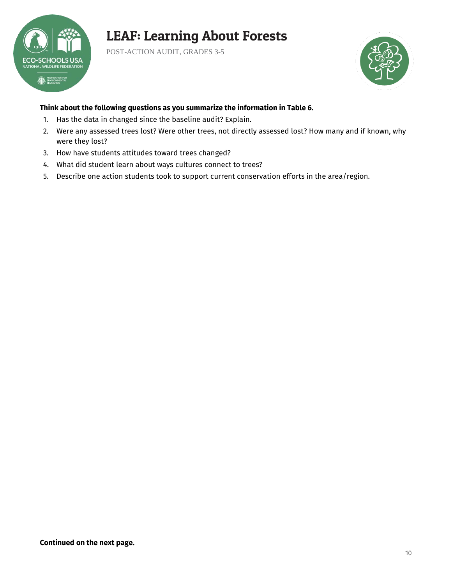

POST-ACTION AUDIT, GRADES 3-5



### **Think about the following questions as you summarize the information in Table 6.**

- 1. Has the data in changed since the baseline audit? Explain.
- 2. Were any assessed trees lost? Were other trees, not directly assessed lost? How many and if known, why were they lost?
- 3. How have students attitudes toward trees changed?
- 4. What did student learn about ways cultures connect to trees?
- 5. Describe one action students took to support current conservation efforts in the area/region.